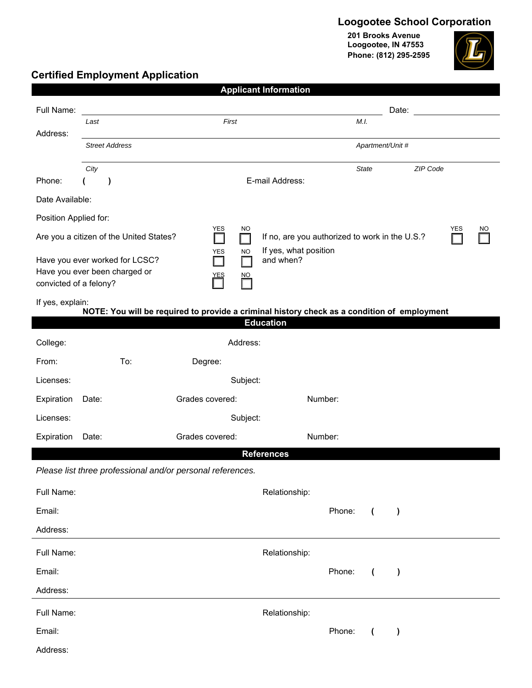## **Loogootee School Corporation**

**201 Brooks Avenue Loogootee, IN 47553 Phone: (812) 295-2595**



### **Certified Employment Application**

|                                                                                                                                                       |                               |                                                            | <b>Applicant Information</b>                                                                |          |  |  |  |  |  |
|-------------------------------------------------------------------------------------------------------------------------------------------------------|-------------------------------|------------------------------------------------------------|---------------------------------------------------------------------------------------------|----------|--|--|--|--|--|
| Full Name:                                                                                                                                            |                               |                                                            | Date:                                                                                       |          |  |  |  |  |  |
| Address:                                                                                                                                              | Last                          | First                                                      | M.I.                                                                                        |          |  |  |  |  |  |
|                                                                                                                                                       | <b>Street Address</b>         |                                                            | Apartment/Unit #                                                                            |          |  |  |  |  |  |
|                                                                                                                                                       | City                          |                                                            | <b>State</b>                                                                                | ZIP Code |  |  |  |  |  |
| Phone:                                                                                                                                                | $\lambda$                     |                                                            | E-mail Address:                                                                             |          |  |  |  |  |  |
| Date Available:                                                                                                                                       |                               |                                                            |                                                                                             |          |  |  |  |  |  |
| Position Applied for:                                                                                                                                 |                               |                                                            |                                                                                             |          |  |  |  |  |  |
| <b>YES</b><br><b>NO</b><br>YES<br>NO<br>Are you a citizen of the United States?<br>If no, are you authorized to work in the U.S.?<br>$\Box$<br>H<br>H |                               |                                                            |                                                                                             |          |  |  |  |  |  |
| If yes, what position<br><b>YES</b><br><b>NO</b><br>and when?<br>Have you ever worked for LCSC?<br>l. I                                               |                               |                                                            |                                                                                             |          |  |  |  |  |  |
| convicted of a felony?                                                                                                                                | Have you ever been charged or | <b>NO</b><br>YES                                           |                                                                                             |          |  |  |  |  |  |
| If yes, explain:                                                                                                                                      |                               |                                                            |                                                                                             |          |  |  |  |  |  |
|                                                                                                                                                       |                               |                                                            | NOTE: You will be required to provide a criminal history check as a condition of employment |          |  |  |  |  |  |
|                                                                                                                                                       |                               |                                                            | <b>Education</b>                                                                            |          |  |  |  |  |  |
| College:                                                                                                                                              |                               | Address:                                                   |                                                                                             |          |  |  |  |  |  |
| From:                                                                                                                                                 | To:                           | Degree:                                                    |                                                                                             |          |  |  |  |  |  |
| Licenses:                                                                                                                                             |                               | Subject:                                                   |                                                                                             |          |  |  |  |  |  |
| Expiration                                                                                                                                            | Date:                         | Grades covered:                                            | Number:                                                                                     |          |  |  |  |  |  |
| Licenses:                                                                                                                                             | Subject:                      |                                                            |                                                                                             |          |  |  |  |  |  |
| Expiration                                                                                                                                            | Date:                         | Grades covered:                                            | Number:                                                                                     |          |  |  |  |  |  |
|                                                                                                                                                       |                               | Please list three professional and/or personal references. | <b>References</b>                                                                           |          |  |  |  |  |  |
|                                                                                                                                                       |                               |                                                            |                                                                                             |          |  |  |  |  |  |
| Full Name:                                                                                                                                            |                               |                                                            | Relationship:                                                                               |          |  |  |  |  |  |
| Email:                                                                                                                                                |                               |                                                            | Phone:<br>$\overline{ }$<br>$\lambda$                                                       |          |  |  |  |  |  |
| Address:                                                                                                                                              |                               |                                                            |                                                                                             |          |  |  |  |  |  |
| Full Name:                                                                                                                                            |                               |                                                            | Relationship:                                                                               |          |  |  |  |  |  |
| Email:                                                                                                                                                |                               |                                                            | Phone:<br>$\overline{ }$<br>$\lambda$                                                       |          |  |  |  |  |  |
| Address:                                                                                                                                              |                               |                                                            |                                                                                             |          |  |  |  |  |  |
| Full Name:                                                                                                                                            |                               |                                                            | Relationship:                                                                               |          |  |  |  |  |  |
| Email:                                                                                                                                                |                               |                                                            | Phone:<br>$\lambda$<br>$\overline{ }$                                                       |          |  |  |  |  |  |
| Address:                                                                                                                                              |                               |                                                            |                                                                                             |          |  |  |  |  |  |
|                                                                                                                                                       |                               |                                                            |                                                                                             |          |  |  |  |  |  |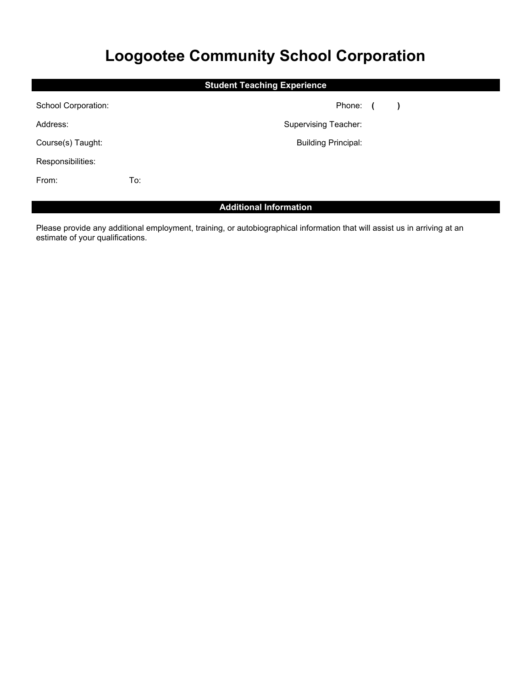# **Loogootee Community School Corporation**

| <b>Student Teaching Experience</b> |     |                             |  |               |  |  |  |  |
|------------------------------------|-----|-----------------------------|--|---------------|--|--|--|--|
| School Corporation:                |     | Phone: (                    |  | $\rightarrow$ |  |  |  |  |
| Address:                           |     | <b>Supervising Teacher:</b> |  |               |  |  |  |  |
| Course(s) Taught:                  |     | <b>Building Principal:</b>  |  |               |  |  |  |  |
| Responsibilities:                  |     |                             |  |               |  |  |  |  |
| From:                              | To: |                             |  |               |  |  |  |  |

### **Additional Information**

Please provide any additional employment, training, or autobiographical information that will assist us in arriving at an estimate of your qualifications.